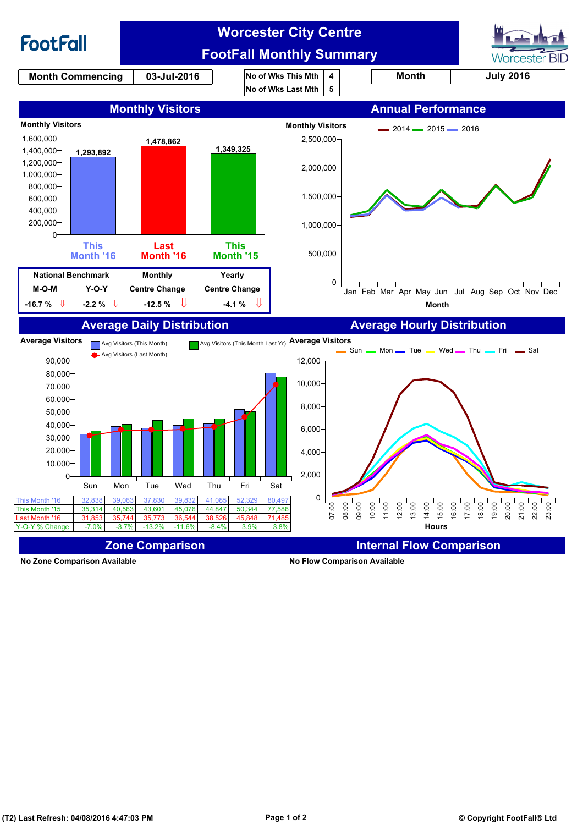

**No Zone Comparison Available No Flow Comparison Available**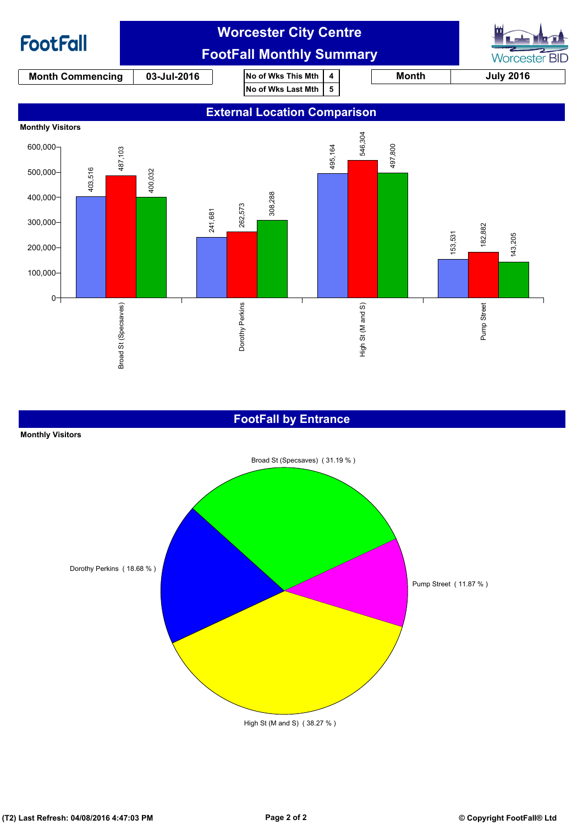

### **FootFall by Entrance**

#### **Monthly Visitors**

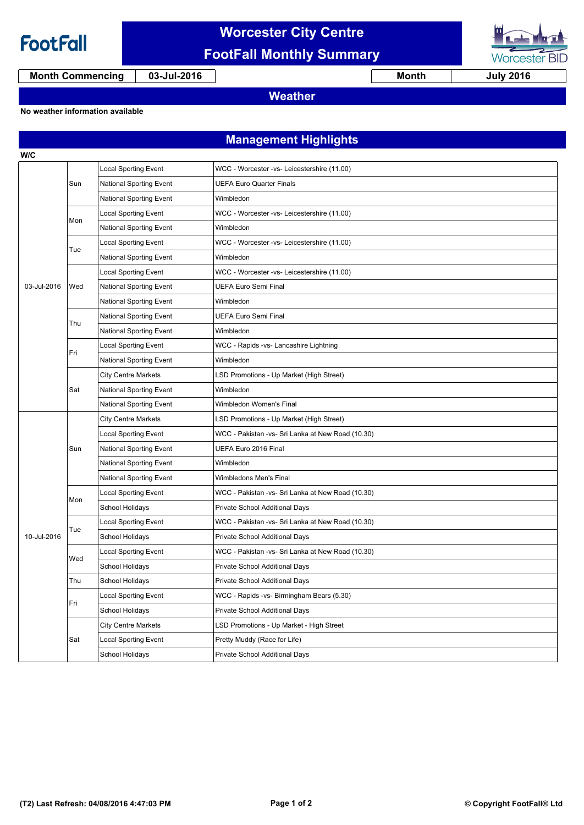

## **Worcester City Centre FootFall Monthly Summary**



**Month Commencing 03-Jul-2016 Month July 2016**

## **Weather**

### **No weather information available**

**Management Highlights**

| W/C         |     |                                |                                                   |  |  |
|-------------|-----|--------------------------------|---------------------------------------------------|--|--|
| 03-Jul-2016 | Sun | <b>Local Sporting Event</b>    | WCC - Worcester -vs- Leicestershire (11.00)       |  |  |
|             |     | <b>National Sporting Event</b> | <b>UEFA Euro Quarter Finals</b>                   |  |  |
|             |     | <b>National Sporting Event</b> | Wimbledon                                         |  |  |
|             | Mon | <b>Local Sporting Event</b>    | WCC - Worcester -vs- Leicestershire (11.00)       |  |  |
|             |     | National Sporting Event        | Wimbledon                                         |  |  |
|             | Tue | <b>Local Sporting Event</b>    | WCC - Worcester -vs- Leicestershire (11.00)       |  |  |
|             |     | National Sporting Event        | Wimbledon                                         |  |  |
|             | Wed | <b>Local Sporting Event</b>    | WCC - Worcester -vs- Leicestershire (11.00)       |  |  |
|             |     | <b>National Sporting Event</b> | <b>UEFA Euro Semi Final</b>                       |  |  |
|             |     | National Sporting Event        | Wimbledon                                         |  |  |
|             | Thu | <b>National Sporting Event</b> | <b>UEFA Euro Semi Final</b>                       |  |  |
|             |     | <b>National Sporting Event</b> | Wimbledon                                         |  |  |
|             | Fri | Local Sporting Event           | WCC - Rapids -vs- Lancashire Lightning            |  |  |
|             |     | <b>National Sporting Event</b> | Wimbledon                                         |  |  |
|             | Sat | <b>City Centre Markets</b>     | LSD Promotions - Up Market (High Street)          |  |  |
|             |     | National Sporting Event        | Wimbledon                                         |  |  |
|             |     | <b>National Sporting Event</b> | Wimbledon Women's Final                           |  |  |
|             | Sun | <b>City Centre Markets</b>     | LSD Promotions - Up Market (High Street)          |  |  |
|             |     | Local Sporting Event           | WCC - Pakistan -vs- Sri Lanka at New Road (10.30) |  |  |
|             |     | <b>National Sporting Event</b> | UEFA Euro 2016 Final                              |  |  |
|             |     | <b>National Sporting Event</b> | Wimbledon                                         |  |  |
|             |     | National Sporting Event        | Wimbledons Men's Final                            |  |  |
|             | Mon | <b>Local Sporting Event</b>    | WCC - Pakistan -vs- Sri Lanka at New Road (10.30) |  |  |
|             |     | School Holidays                | Private School Additional Days                    |  |  |
|             | Tue | Local Sporting Event           | WCC - Pakistan -vs- Sri Lanka at New Road (10.30) |  |  |
| 10-Jul-2016 |     | School Holidays                | Private School Additional Days                    |  |  |
|             | Wed | Local Sporting Event           | WCC - Pakistan -vs- Sri Lanka at New Road (10.30) |  |  |
|             |     | School Holidays                | Private School Additional Days                    |  |  |
|             | Thu | School Holidays                | Private School Additional Days                    |  |  |
|             | Fri | <b>Local Sporting Event</b>    | WCC - Rapids -vs- Birmingham Bears (5.30)         |  |  |
|             |     | School Holidays                | Private School Additional Days                    |  |  |
|             | Sat | <b>City Centre Markets</b>     | LSD Promotions - Up Market - High Street          |  |  |
|             |     | Local Sporting Event           | Pretty Muddy (Race for Life)                      |  |  |
|             |     | School Holidays                | Private School Additional Days                    |  |  |